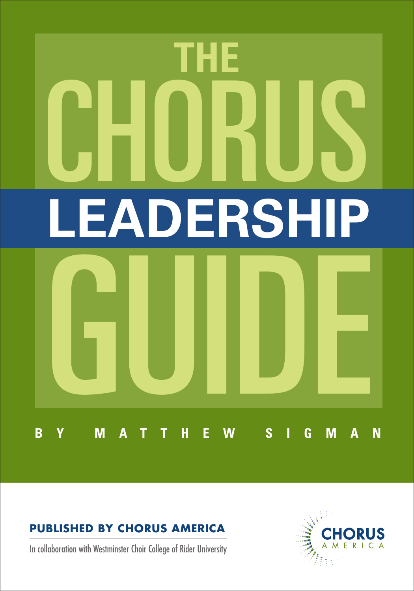

# **Published by Chorus America**

In collaboration with Westminster Choir College of Rider University

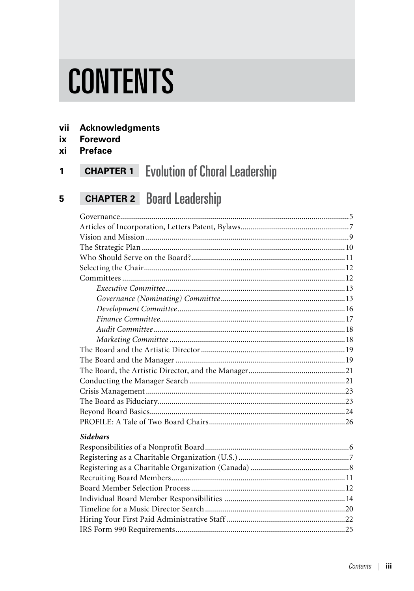# **CONTENTS**

- vii **Acknowledgments**
- ix **Foreword**
- **Preface** xi

#### **CHAPTER 1** Evolution of Choral Leadership  $\mathbf{1}$

#### **CHAPTER 2** Board Leadership 5

| <b>Sidebars</b> |  |
|-----------------|--|
|                 |  |
|                 |  |
|                 |  |
|                 |  |
|                 |  |
|                 |  |
|                 |  |
|                 |  |
|                 |  |
|                 |  |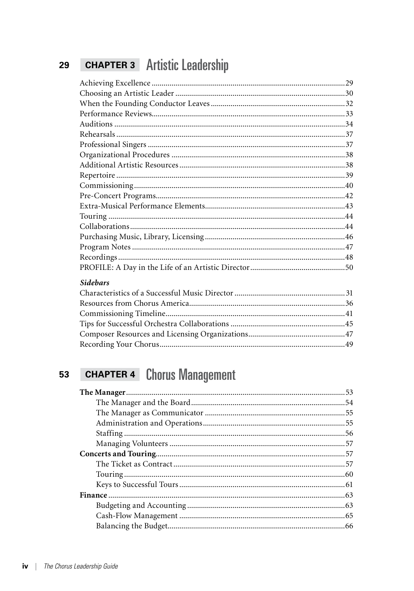#### **CHAPTER 3** Artistic Leadership 29

| <b>Sidebars</b>                 |    |
|---------------------------------|----|
|                                 |    |
| $D$ assures from Charus America | 2C |

#### **CHAPTER 4 Chorus Management** 53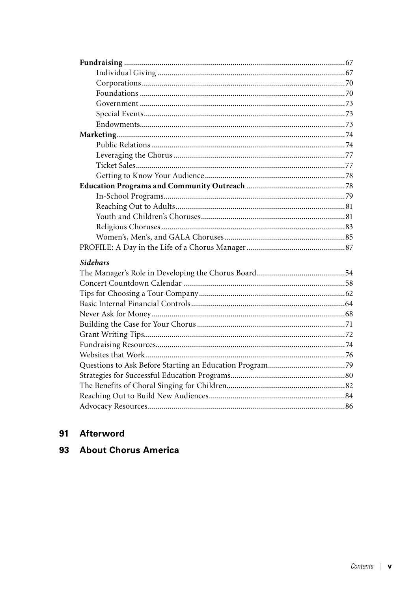| <b>Sidebars</b> |  |
|-----------------|--|
|                 |  |
|                 |  |
|                 |  |
|                 |  |
|                 |  |
|                 |  |
|                 |  |
|                 |  |
|                 |  |
|                 |  |
|                 |  |
|                 |  |
|                 |  |
|                 |  |
|                 |  |

# 91 Afterword

# 93 About Chorus America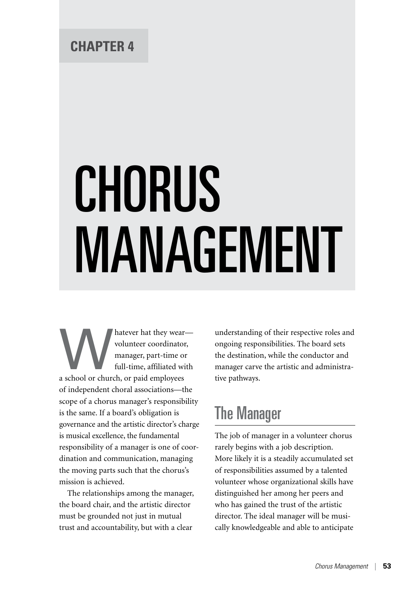# CHORUS MANAGEMENT

Matever hat they wear—volunteer coordinator,<br>manager, part-time or<br>full-time, affiliated with<br>a school or church, or paid employees volunteer coordinator, manager, part-time or full-time, affiliated with of independent choral associations—the scope of a chorus manager's responsibility is the same. If a board's obligation is governance and the artistic director's charge is musical excellence, the fundamental responsibility of a manager is one of coordination and communication, managing the moving parts such that the chorus's mission is achieved.

The relationships among the manager, the board chair, and the artistic director must be grounded not just in mutual trust and accountability, but with a clear

understanding of their respective roles and ongoing responsibilities. The board sets the destination, while the conductor and manager carve the artistic and administrative pathways.

# The Manager

The job of manager in a volunteer chorus rarely begins with a job description. More likely it is a steadily accumulated set of responsibilities assumed by a talented volunteer whose organizational skills have distinguished her among her peers and who has gained the trust of the artistic director. The ideal manager will be musically knowledgeable and able to anticipate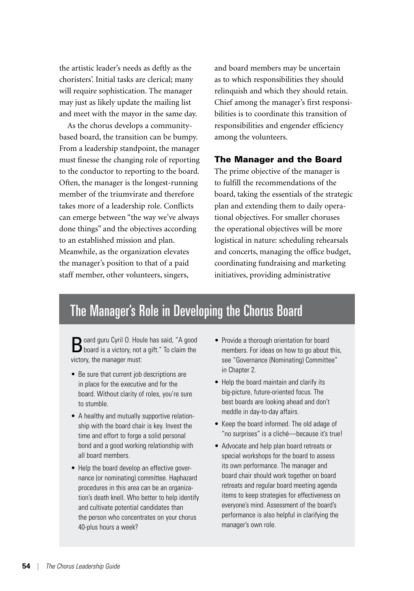the artistic leader's needs as deftly as the choristers'. Initial tasks are clerical; many will require sophistication. The manager may just as likely update the mailing list and meet with the mayor in the same day.

As the chorus develops a communitybased board, the transition can be bumpy. From a leadership standpoint, the manager must finesse the changing role of reporting to the conductor to reporting to the board. Often, the manager is the longest-running member of the triumvirate and therefore takes more of a leadership role. Conflicts can emerge between "the way we've always done things" and the objectives according to an established mission and plan. Meanwhile, as the organization elevates the manager's position to that of a paid staff member, other volunteers, singers,

and board members may be uncertain as to which responsibilities they should relinquish and which they should retain. Chief among the manager's first responsibilities is to coordinate this transition of responsibilities and engender efficiency among the volunteers.

### The Manager and the Board

The prime objective of the manager is to fulfill the recommendations of the board, taking the essentials of the strategic plan and extending them to daily operational objectives. For smaller choruses the operational objectives will be more logistical in nature: scheduling rehearsals and concerts, managing the office budget, coordinating fundraising and marketing initiatives, providing administrative

# The Manager's Role in Developing the Chorus Board

Board guru Cyril O. Houle has said, "A good<br>Board is a victory, not a gift." To claim the victory, the manager must:

- Be sure that current job descriptions are in place for the executive and for the board. Without clarity of roles, you're sure to stumble.
- A healthy and mutually supportive relationship with the board chair is key. Invest the time and effort to forge a solid personal bond and a good working relationship with all board members.
- Help the board develop an effective governance (or nominating) committee. Haphazard procedures in this area can be an organization's death knell. Who better to help identify and cultivate potential candidates than the person who concentrates on your chorus 40-plus hours a week?
- Provide a thorough orientation for board members. For ideas on how to go about this, see "Governance (Nominating) Committee" in Chapter 2.
- Help the board maintain and clarify its big-picture, future-oriented focus. The best boards are looking ahead and don't meddle in day-to-day affairs.
- Keep the board informed. The old adage of "no surprises" is a cliché—because it's true!
- Advocate and help plan board retreats or special workshops for the board to assess its own performance. The manager and board chair should work together on board retreats and regular board meeting agenda items to keep strategies for effectiveness on everyone's mind. Assessment of the board's performance is also helpful in clarifying the manager's own role.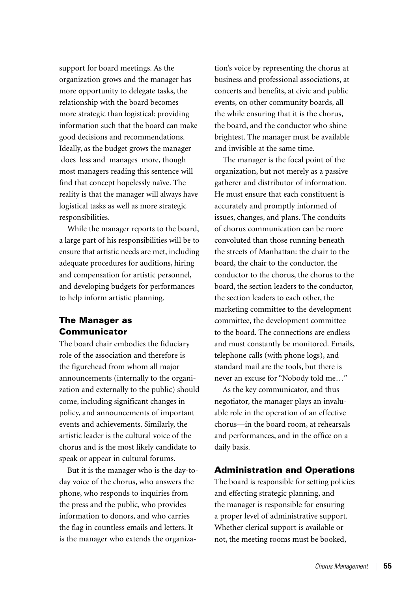support for board meetings. As the organization grows and the manager has more opportunity to delegate tasks, the relationship with the board becomes more strategic than logistical: providing information such that the board can make good decisions and recommendations. Ideally, as the budget grows the manager does less and manages more, though most managers reading this sentence will find that concept hopelessly naïve. The reality is that the manager will always have logistical tasks as well as more strategic responsibilities.

While the manager reports to the board, a large part of his responsibilities will be to ensure that artistic needs are met, including adequate procedures for auditions, hiring and compensation for artistic personnel, and developing budgets for performances to help inform artistic planning.

## The Manager as **Communicator**

The board chair embodies the fiduciary role of the association and therefore is the figurehead from whom all major announcements (internally to the organization and externally to the public) should come, including significant changes in policy, and announcements of important events and achievements. Similarly, the artistic leader is the cultural voice of the chorus and is the most likely candidate to speak or appear in cultural forums.

But it is the manager who is the day-today voice of the chorus, who answers the phone, who responds to inquiries from the press and the public, who provides information to donors, and who carries the flag in countless emails and letters. It is the manager who extends the organiza-

tion's voice by representing the chorus at business and professional associations, at concerts and benefits, at civic and public events, on other community boards, all the while ensuring that it is the chorus, the board, and the conductor who shine brightest. The manager must be available and invisible at the same time.

The manager is the focal point of the organization, but not merely as a passive gatherer and distributor of information. He must ensure that each constituent is accurately and promptly informed of issues, changes, and plans. The conduits of chorus communication can be more convoluted than those running beneath the streets of Manhattan: the chair to the board, the chair to the conductor, the conductor to the chorus, the chorus to the board, the section leaders to the conductor, the section leaders to each other, the marketing committee to the development committee, the development committee to the board. The connections are endless and must constantly be monitored. Emails, telephone calls (with phone logs), and standard mail are the tools, but there is never an excuse for "Nobody told me…"

As the key communicator, and thus negotiator, the manager plays an invaluable role in the operation of an effective chorus—in the board room, at rehearsals and performances, and in the office on a daily basis.

#### Administration and Operations

The board is responsible for setting policies and effecting strategic planning, and the manager is responsible for ensuring a proper level of administrative support. Whether clerical support is available or not, the meeting rooms must be booked,